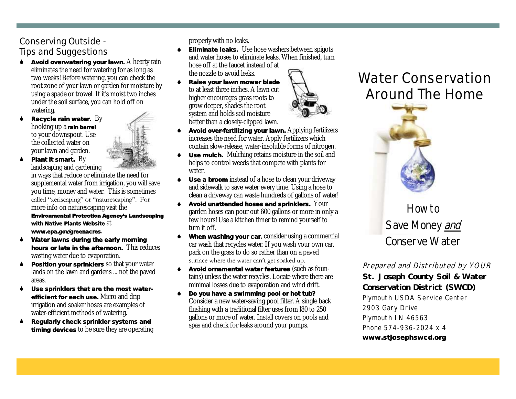## Conserving Outside - Tips and Suggestions

- Avoid overwatering your lawn. A hearty rain eliminates the need for watering for as long as two weeks! Before watering, you can check the root zone of your lawn or garden for moisture by using a spade or trowel. If it's moist two inches under the soil surface, you can hold off on watering.
- Recycle rain water. By hooking up a rain barrel to your downspout. Use the collected water on your lawn and garden.



Plant it smart. By landscaping and gardening

in ways that reduce or eliminate the need for supplemental water from irrigation, you will save you time, money and water. This is sometimes called "xeriscaping" or "naturescaping". For more info on naturescaping visit the

Environmental Protection Agency's Landscaping with Native Plants Website at www.epa.gov/greenacres.

- Water lawns during the early morning hours or late in the afternoon. This reduces wasting water due to evaporation.
- Position your sprinklers so that your water lands on the lawn and gardens ... not the paved areas.
- Use sprinklers that are the most waterefficient for each use. Micro and drip irrigation and soaker hoses are examples of water-efficient methods of watering.
- Regularly check sprinkler systems and timing devices to be sure they are operating

properly with no leaks.

- **Eliminate leaks.** Use hose washers between spigots and water hoses to eliminate leaks. When finished, turn hose off at the faucet instead of at the nozzle to avoid leaks.
- Raise your lawn mower blade to at least three inches. A lawn cut higher encourages grass roots to grow deeper, shades the root system and holds soil moisture better than a closely-clipped lawn.



- Avoid over-fertilizing your lawn. Applying fertilizers increases the need for water. Apply fertilizers which contain slow-release, water-insoluble forms of nitrogen.
- Use mulch. Mulching retains moisture in the soil and helps to control weeds that compete with plants for water.
- Use a broom instead of a hose to clean your driveway and sidewalk to save water every time. Using a hose to clean a driveway can waste hundreds of gallons of water!
- Avoid unattended hoses and sprinklers. Your garden hoses can pour out 600 gallons or more in only a few hours! Use a kitchen timer to remind yourself to turn it off.
- When washing your car, consider using a commercial car wash that recycles water. If you wash your own car, park on the grass to do so rather than on a paved surface where the water can't get soaked up.
- Avoid ornamental water features (such as fountains) unless the water recycles. Locate where there are minimal losses due to evaporation and wind drift.
- ◆ Do you have a swimming pool or hot tub? Consider a new water-saving pool filter. A single back flushing with a traditional filter uses from l80 to 250 gallons or more of water. Install covers on pools and spas and check for leaks around your pumps.

# Water Conservation Around The Home



## How to Save Money and Conserve Water

Prepared and Distributed by YOUR **St. Joseph County Soil & Water Conservation District (SWCD)** Plymouth USDA Service Center 2903 Gary Drive Plymouth IN 46563 Phone 574-936-2024 x 4 www.stjosephswcd.org